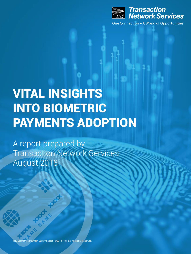

## VITAL INSIGHTS INTO BIOMETRIC PAYMENTS ADOPTION

A report prepared by Transaction Network Services August 2018

 $\overline{\mathbb{P}}$ s Payment Survey Repo<u>rt - ©2018 TNS, Inc. All Rights Reserved.</u>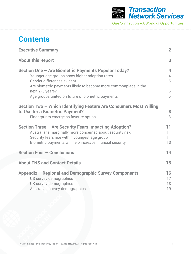

### **Contents**

| <b>Executive Summary</b>                                                                                                                                                                                                         | $\overline{2}$                                      |
|----------------------------------------------------------------------------------------------------------------------------------------------------------------------------------------------------------------------------------|-----------------------------------------------------|
| <b>About this Report</b>                                                                                                                                                                                                         | 3                                                   |
| Section One - Are Biometric Payments Popular Today?<br>Younger age groups show higher adoption rates<br>Gender differences evident<br>Are biometric payments likely to become more commonplace in the<br>next 2-5 years?         | $\overline{\mathbf{4}}$<br>$\overline{4}$<br>5<br>6 |
| Age groups united on future of biometric payments                                                                                                                                                                                | 6                                                   |
| Section Two - Which Identifying Feature Are Consumers Most Willing<br>to Use for a Biometric Payment?<br>Fingerprints emerge as favorite option                                                                                  | 8<br>8                                              |
| Section Three - Are Security Fears Impacting Adoption?<br>Australians marginally more concerned about security risk<br>Security fears rise within youngest age group<br>Biometric payments will help increase financial security | 11<br>11<br>11<br>13                                |
| <b>Section Four - Conclusions</b>                                                                                                                                                                                                | 14                                                  |
| <b>About TNS and Contact Details</b>                                                                                                                                                                                             | 15                                                  |
| Appendix - Regional and Demographic Survey Components<br>US survey demographics<br>UK survey demographics<br>Australian survey demographics                                                                                      | 16<br>17<br>18<br>19                                |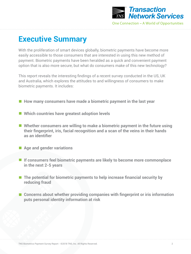

### **Executive Summary**

With the proliferation of smart devices globally, biometric payments have become more easily accessible to those consumers that are interested in using this new method of payment. Biometric payments have been heralded as a quick and convenient payment option that is also more secure, but what do consumers make of this new technology?

This report reveals the interesting findings of a recent survey conducted in the US, UK and Australia, which explores the attitudes to and willingness of consumers to make biometric payments. It includes:

- How many consumers have made a biometric payment in the last year
- Which countries have greatest adoption levels
- Whether consumers are willing to make a biometric payment in the future using **their fingerprint, iris, facial recognition and a scan of the veins in their hands as an identifier**
- **Age and gender variations**
- **If consumers feel biometric payments are likely to become more commonplace in the next 2-5 years**
- The potential for biometric payments to help increase financial security by **reducing fraud**
- Concerns about whether providing companies with fingerprint or iris information **puts personal identity information at risk**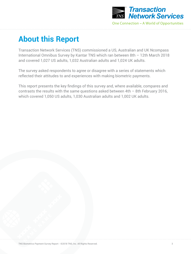

### **About this Report**

Transaction Network Services (TNS) commissioned a US, Australian and UK Ncompass International Omnibus Survey by Kantar TNS which ran between 8th – 12th March 2018 and covered 1,027 US adults, 1,032 Australian adults and 1,024 UK adults.

The survey asked respondents to agree or disagree with a series of statements which reflected their attitudes to and experiences with making biometric payments.

This report presents the key findings of this survey and, where available, compares and contrasts the results with the same questions asked between 4th – 8th February 2016, which covered 1,050 US adults, 1,030 Australian adults and 1,002 UK adults.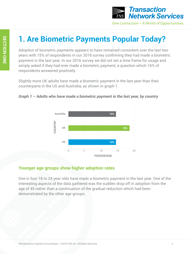

### **1. Are Biometric Payments Popular Today?**

Adoption of biometric payments appears to have remained consistent over the last two years with 15% of respondents in our 2018 survey confirming they had made a biometric payment in the last year. In our 2016 survey we did not set a time frame for usage and simply asked if they had ever made a biometric payment, a question which 16% of respondents answered positively.

Slightly more UK adults have made a biometric payment in the last year than their counterparts in the US and Australia, as shown in graph 1.





#### **Younger age groups show higher adoption rates**

One in four 18 to 24 year olds have made a biometric payment in the last year. One of the interesting aspects of the data gathered was the sudden drop off in adoption from the age of 45 rather than a continuation of the gradual reduction which had been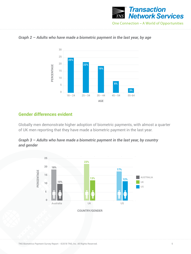



#### *Graph 2 – Adults who have made a biometric payment in the last year, by age*

#### **Gender differences evident**

Globally men demonstrate higher adoption of biometric payments, with almost a quarter of UK men reporting that they have made a biometric payment in the last year.



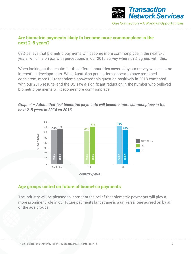

#### **Are biometric payments likely to become more commonplace in the next 2-5 years?**

68% believe that biometric payments will become more commonplace in the next 2-5 years, which is on par with perceptions in our 2016 survey where 67% agreed with this.

When looking at the results for the different countries covered by our survey we see some interesting developments. While Australian perceptions appear to have remained consistent, more UK respondents answered this question positively in 2018 compared with our 2016 results, and the US saw a significant reduction in the number who believed biometric payments will become more commonplace.

#### *Graph 4 – Adults that feel biometric payments will become more commonplace in the next 2-5 years in 2018 vs 2016*



#### **Age groups united on future of biometric payments**

The industry will be pleased to learn that the belief that biometric payments will play a more prominent role in our future payments landscape is a universal one agreed on by all of the age groups.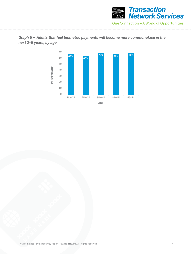



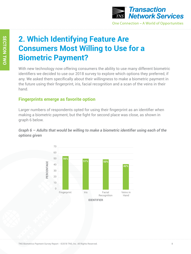

### **2. Which Identifying Feature Are Consumers Most Willing to Use for a Biometric Payment?**

With new technology now offering consumers the ability to use many different biometric identifiers we decided to use our 2018 survey to explore which options they preferred, if any. We asked them specifically about their willingness to make a biometric payment in the future using their fingerprint, iris, facial recognition and a scan of the veins in their hand.

#### **Fingerprints emerge as favorite option**

Larger numbers of respondents opted for using their fingerprint as an identifier when making a biometric payment, but the fight for second place was close, as shown in graph 6 below.

*Graph 6 – Adults that would be willing to make a biometric identifier using each of the options given*

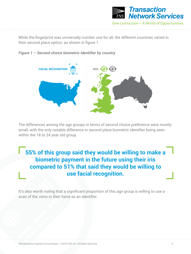

While the fingerprint was universally number one for all, the different countries varied in their second place option, as shown in figure 1.

#### *Figure 1 – Second choice biometric identifier by country*



The differences among the age groups in terms of second choice preference were mostly small, with the only notable difference in second place biometric identifier being seen within the 18 to 24 year old group.

**55% of this group said they would be willing to make a biometric payment in the future using their iris compared to 51% that said they would be willing to use facial recognition.**

It's also worth noting that a significant proportion of this age group is willing to use a scan of the veins in their hand as an identifier.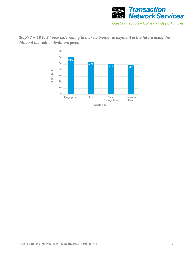



*Graph 7 – 18 to 24 year olds willing to make a biometric payment in the future using the different biometric identifiers given*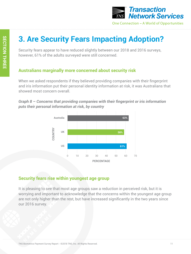

### **3. Are Security Fears Impacting Adoption?**

Security fears appear to have reduced slightly between our 2018 and 2016 surveys, however, 61% of the adults surveyed were still concerned.

#### **Australians marginally more concerned about security risk**

When we asked respondents if they believed providing companies with their fingerprint and iris information put their personal identity information at risk, it was Australians that showed most concern overall.

*Graph 8 – Concerns that providing companies with their fingerprint or iris information puts their personal information at risk, by country* 



#### **Security fears rise within youngest age group**

It is pleasing to see that most age groups saw a reduction in perceived risk, but it is worrying and important to acknowledge that the concerns within the youngest age group are not only higher than the rest, but have increased significantly in the two years since our 2016 survey.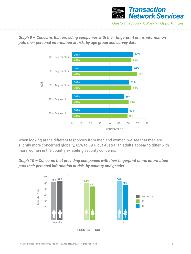

*Graph 9 – Concerns that providing companies with their fingerprint or iris information puts their personal information at risk, by age group and survey date*



When looking at the different responses from men and women, we see that men are slightly more concerned globally, 62% to 59%, but Australian adults appear to differ with more women in the country exhibiting security concerns.



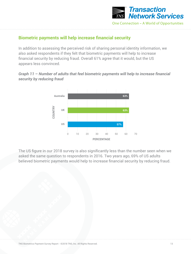

#### **Biometric payments will help increase financial security**

In addition to assessing the perceived risk of sharing personal identity information, we also asked respondents if they felt that biometric payments will help to increase financial security by reducing fraud. Overall 61% agree that it would, but the US appears less convinced.

#### *Graph 11 – Number of adults that feel biometric payments will help to increase financial security by reducing fraud*



The US figure in our 2018 survey is also significantly less than the number seen when we asked the same question to respondents in 2016. Two years ago, 69% of US adults believed biometric payments would help to increase financial security by reducing fraud.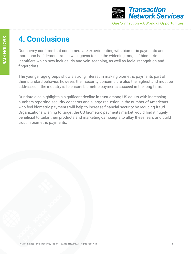

### **4. Conclusions**

Our survey confirms that consumers are experimenting with biometric payments and more than half demonstrate a willingness to use the widening range of biometric identifiers which now include iris and vein scanning, as well as facial recognition and fingerprints.

The younger age groups show a strong interest in making biometric payments part of their standard behavior, however, their security concerns are also the highest and must be addressed if the industry is to ensure biometric payments succeed in the long term.

Our data also highlights a significant decline in trust among US adults with increasing numbers reporting security concerns and a large reduction in the number of Americans who feel biometric payments will help to increase financial security by reducing fraud. Organizations wishing to target the US biometric payments market would find it hugely beneficial to tailor their products and marketing campaigns to allay these fears and build trust in biometric payments.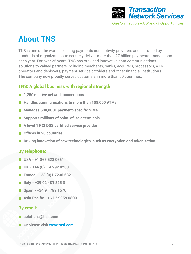

### **About TNS**

TNS is one of the world's leading payments connectivity providers and is trusted by hundreds of organizations to securely deliver more than 27 billion payments transactions each year. For over 25 years, TNS has provided innovative data communications solutions to valued partners including merchants, banks, acquirers, processors, ATM operators and deployers, payment service providers and other financial institutions. The company now proudly serves customers in more than 60 countries.

#### **TNS: A global business with regional strength**

- 1,250+ active network connections
- **Handles communications to more than 108,000 ATMs**
- Manages 500,000+ payment-specific SIMs
- Supports millions of point-of-sale terminals
- **A level 1 PCI DSS certified service provider**
- **Offices in 20 countries**
- **Driving innovation of new technologies, such as encryption and tokenization**

#### **By telephone:**

- **USA +1 866 523 0661**
- **UK +44 (0)114 292 0200**
- **France +33 (0)1 7236 6321**
- **Italy +39 02 481 225 3**
- **Spain +34 91 799 1670**
- **Asia Pacific +61 2 9959 0800**

#### **By email:**

- **solutions@tnsi.com**
- Or please visit www.tnsi.com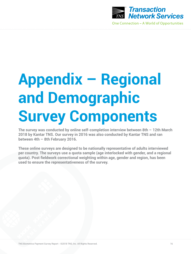

# **Appendix – Regional and Demographic Survey Components**

**The survey was conducted by online self-completion interview between 8th – 12th March 2018 by Kantar TNS. Our survey in 2016 was also conducted by Kantar TNS and ran between 4th – 8th February 2016.**

**These online surveys are designed to be nationally representative of adults interviewed per country. The surveys use a quota sample (age interlocked with gender, and a regional quota). Post fieldwork correctional weighting within age, gender and region, has been used to ensure the representativeness of the survey.**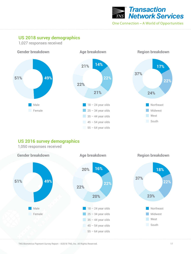

Northeast Midwest

**17%**

**22%**

West **South** 

**24%**

#### **US 2018 survey demographics**

1,027 responses received



#### **US 2016 survey demographics**

1,050 responses received



TNS Biometrics Payment Survey Report - ©2018 TNS, Inc. All Rights Reserved.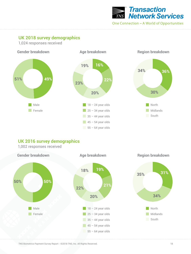

#### **UK 2018 survey demographics**

1,024 responses received



#### **UK 2016 survey demographics** 1,002 responses received